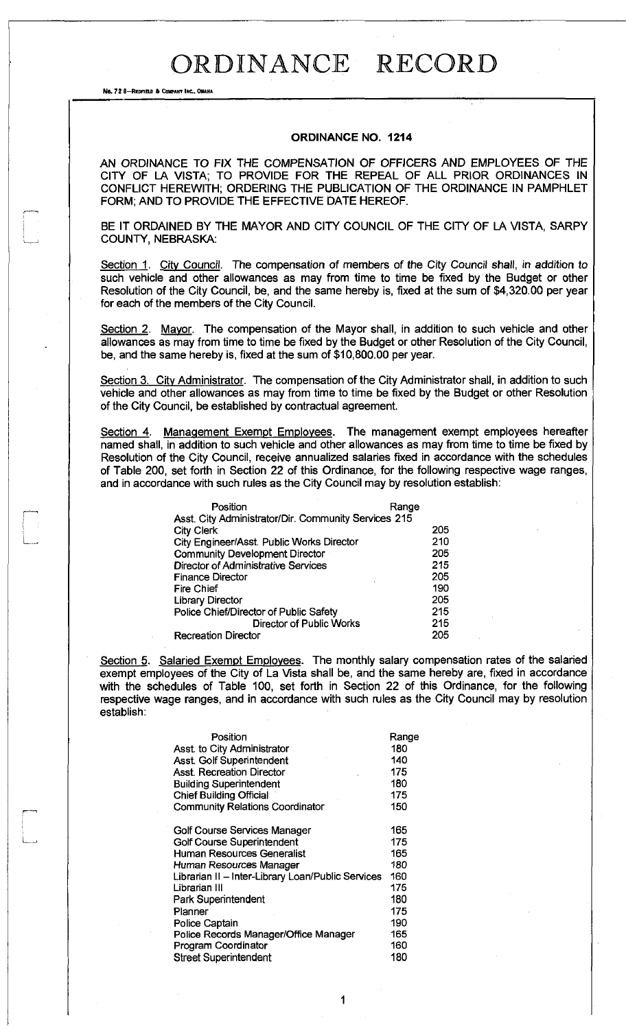No. 72 8-REDFIELD & COMPANY INC., OMAHA

#### **ORDINANCE NO. 1214**

AN ORDINANCE TO FIX THE COMPENSATION OF OFFICERS AND EMPLOYEES OF THE CITY OF LA VISTA; TO PROVIDE FOR THE REPEAL OF ALL PRIOR ORDINANCES IN CONFLICT HEREWITH; ORDERING THE PUBLICATION OF THE ORDINANCE IN PAMPHLET FORM; AND TO PROVIDE THE EFFECTIVE DATE HEREOF.

BE IT ORDAINED BY THE MAYOR AND CITY COUNCIL OF THE CITY OF LA VISTA, SARPY COUNTY, NEBRASKA:

Section 1. City Council. The compensation of members of the City Council shall, in addition to such vehicle and other allowances as may from time to time be fixed by the Budget or other Resolution of the City Council, be, and the same hereby is, fixed at the sum of \$4,320.00 per year for each of the members of the City Council.

Section 2. Mayor. The compensation of the Mayor shall, in addition to such vehicle and other allowances as may from time to time be fixed by the Budget or other Resolution of the City Council, be, and the same hereby is, fixed at the sum of \$10,800.00 per year.

Section 3. City Administrator. The compensation of the City Administrator shall, in addition to such vehicle and other allowances as may from time to time be fixed by the Budget or other Resolution of the City Council, be established by contractual agreement.

Section 4. Management Exempt Employees. The management exempt employees hereafter named shall, in addition to such vehicle and other allowances as may from time to time be fixed by Resolution of the City Council, receive annualized salaries fixed in accordance with the schedules of Table 200, set forth in Section 22 of this Ordinance, for the following respective wage ranges, and in accordance with such rules as the City Council may by resolution establish:

| Position                                             | Range |
|------------------------------------------------------|-------|
| Asst. City Administrator/Dir. Community Services 215 |       |
| City Clerk                                           | 205   |
| City Engineer/Asst. Public Works Director            | 210   |
| <b>Community Development Director</b>                | 205   |
| Director of Administrative Services                  | 215   |
| <b>Finance Director</b>                              | 205   |
| <b>Fire Chief</b>                                    | 190   |
| <b>Library Director</b>                              | 205   |
| Police Chief/Director of Public Safety               | 215   |
| <b>Director of Public Works</b>                      | 215   |
| <b>Recreation Director</b>                           | 205   |

Section 5. Salaried Exempt Employees. The monthly salary compensation rates of the salaried exempt employees of the City of La Vista shall be, and the same hereby are, fixed in accordance with the schedules of Table 100, set forth in Section 22 of this Ordinance, for the following respective wage ranges, and in accordance with such rules as the City Council may by resolution establish:

| Position                                          | Range |
|---------------------------------------------------|-------|
| Asst. to City Administrator                       | 180   |
| Asst. Golf Superintendent                         | 140   |
| <b>Asst. Recreation Director</b>                  | 175   |
| <b>Building Superintendent</b>                    | 180   |
| <b>Chief Building Official</b>                    | 175   |
| <b>Community Relations Coordinator</b>            | 150   |
| Golf Course Services Manager                      | 165   |
| Golf Course Superintendent                        | 175   |
| Human Resources Generalist                        | 165   |
| Human Resources Manager                           | 180   |
| Librarian II - Inter-Library Loan/Public Services | 160   |
| Librarian III                                     | 175   |
| Park Superintendent                               | 180   |
| Planner                                           | 175   |
| Police Captain                                    | 190   |
| Police Records Manager/Office Manager             | 165   |
| Program Coordinator                               | 160   |
| <b>Street Superintendent</b>                      | 180   |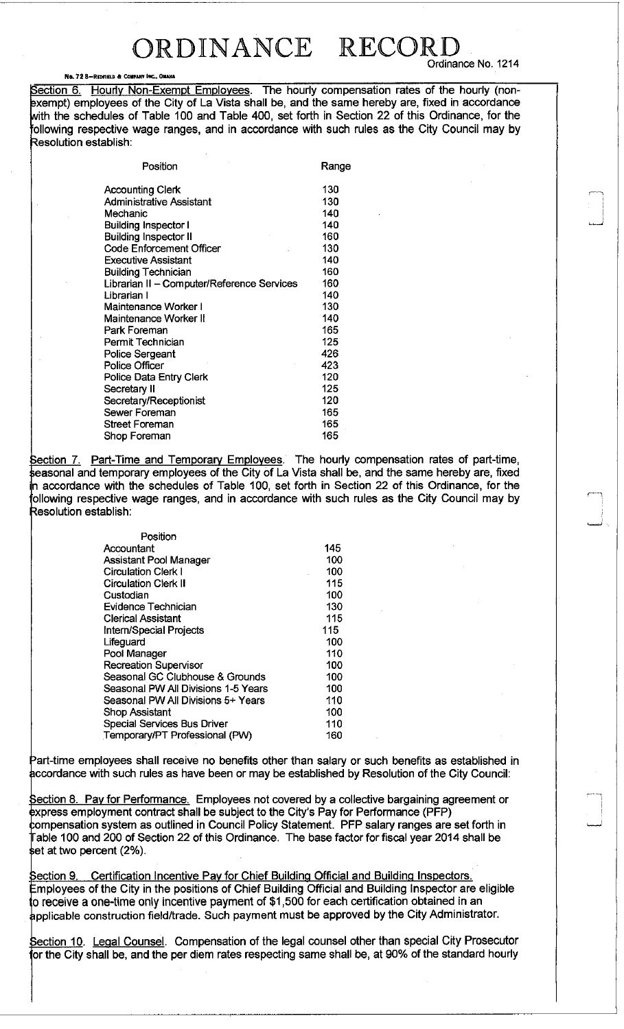### ORDINANCE RECOR Ordinance No. 1214

#### No. 72 8-REDFIELD & COMPANY INC., O

Section 6. Hourly Non-Exempt Employees. The hourly compensation rates of the hourly (nonexempt) employees of the City of La Vista shall be, and the same hereby are, fixed in accordance with the schedules of Table 100 and Table 400, set forth in Section 22 of this Ordinance, for the following respective wage ranges, and in accordance with such rules as the City Council may by Resolution establish:

| Position                                   | Range |
|--------------------------------------------|-------|
| <b>Accounting Clerk</b>                    | 130   |
| <b>Administrative Assistant</b>            | 130   |
| Mechanic                                   | 140   |
| Building Inspector I                       | 140   |
| <b>Building Inspector II</b>               | 160   |
| <b>Code Enforcement Officer</b>            | 130   |
| <b>Executive Assistant</b>                 | 140   |
| <b>Building Technician</b>                 | 160   |
| Librarian II - Computer/Reference Services | 160   |
| Librarian I                                | 140   |
| Maintenance Worker I                       | 130   |
| Maintenance Worker II                      | 140   |
| Park Foreman                               | 165   |
| Permit Technician                          | 125   |
| <b>Police Sergeant</b>                     | 426   |
| Police Officer                             | 423   |
| Police Data Entry Clerk                    | 120   |
| Secretary II                               | 125   |
| Secretary/Receptionist                     | 120   |
| Sewer Foreman                              | 165   |
| <b>Street Foreman</b>                      | 165   |
| Shop Foreman                               | 165   |

Section 7. Part-Time and Temporary Employees. The hourly compensation rates of part-time, seasonal and temporary employees of the City of La Vista shall be, and the same hereby are, fixed n accordance with the schedules of Table 100, set forth in Section 22 of this Ordinance, for the following respective wage ranges, and in accordance with such rules as the City Council may by Resolution establish:

| Position                            |     |
|-------------------------------------|-----|
| Accountant                          | 145 |
| Assistant Pool Manager              | 100 |
| <b>Circulation Clerk I</b>          | 100 |
| <b>Circulation Clerk II</b>         | 115 |
| Custodian                           | 100 |
| Evidence Technician                 | 130 |
| <b>Clerical Assistant</b>           | 115 |
| Intern/Special Projects             | 115 |
| Lifeguard                           | 100 |
| Pool Manager                        | 110 |
| <b>Recreation Supervisor</b>        | 100 |
| Seasonal GC Clubhouse & Grounds     | 100 |
| Seasonal PW All Divisions 1-5 Years | 100 |
| Seasonal PW All Divisions 5+ Years  | 110 |
| Shop Assistant                      | 100 |
| Special Services Bus Driver         | 110 |
| Temporary/PT Professional (PW)      | 160 |

Part-time employees shall receive no benefits other than salary or such benefits as established in accordance with such rules as have been or may be established by Resolution of the City Council:

Section 8. Pay for Performance. Employees not covered by a collective bargaining agreement or express employment contract shall be subject to the City's Pay for Performance (PFP) compensation system as outlined in Council Policy Statement. PFP salary ranges are set forth in Fable 100 and 200 of Section 22 of this Ordinance. The base factor for fiscal year 2014 shall be set at two percent (2%).

Section 9. Certification Incentive Pay for Chief Building Official and Building Inspectors. Employees of the City in the positions of Chief Building Official and Building Inspector are eligible 0 receive a one-time only incentive payment of \$1,500 for each certification obtained in an applicable construction field/trade. Such payment must be approved by the City Administrator.

Section 10. Legal Counsel. Compensation of the legal counsel other than special City Prosecutor or the City shall be, and the per diem rates respecting same shall be, at 90% of the standard hourly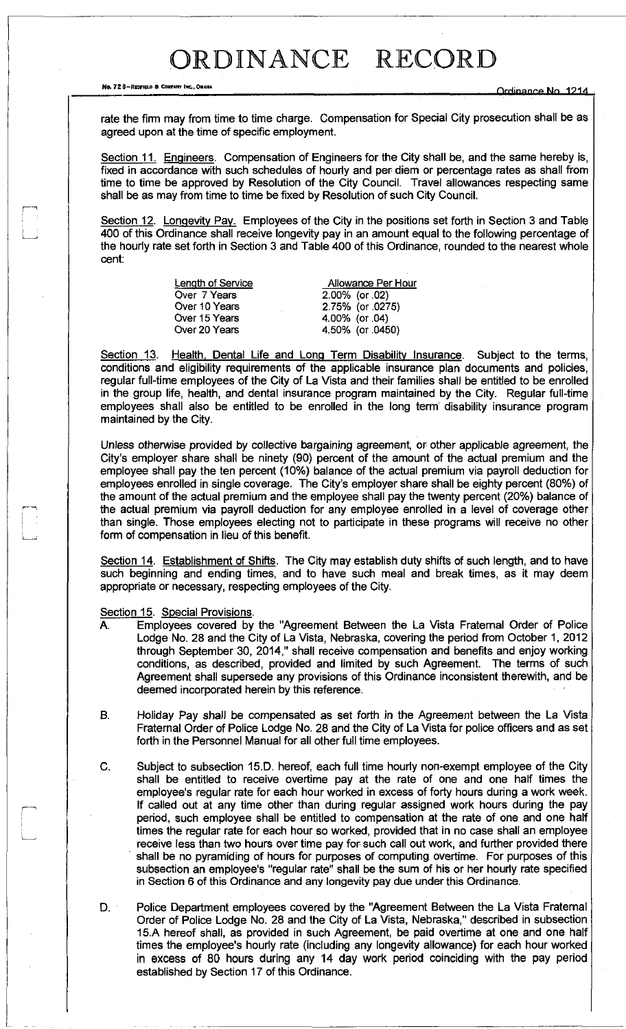No. 72 8-REDFIELD & COMPANY FRC., OMAHA<br> **REDFIELD A COMPANY REG. OMAHA reduced a company of the company of the company of the company of the company of the company of the company of the company of the company of the com** 

rate the firm may from time to time charge. Compensation for Special City prosecution shall be as agreed upon at the time of specific employment.

Section 11. Engineers. Compensation of Engineers for the City shall be, and the same hereby is, fixed in accordance with such schedules of hourly and per diem or percentage rates as shall from time to time be approved by Resolution of the City Council. Travel allowances respecting same shall be as may from time to time be fixed by Resolution of such City Council.

Section 12. Longevity Pay. Employees of the City in the positions set forth in Section 3 and Table 400 of this Ordinance shall receive longevity pay in an amount equal to the following percentage of the hourly rate set forth in Section 3 and Table 400 of this Ordinance, rounded to the nearest whole cent:

| Length of Service | Allowance Per Hour |  |  |  |  |  |
|-------------------|--------------------|--|--|--|--|--|
| Over 7 Years      | 2.00% (or .02)     |  |  |  |  |  |
| Over 10 Years     | 2.75% (or .0275)   |  |  |  |  |  |
| Over 15 Years     | 4.00% (or .04)     |  |  |  |  |  |
| Over 20 Years     | 4.50% (or .0450)   |  |  |  |  |  |

Section 13. Health, Dental Life and Long Term Disability Insurance. Subject to the terms, conditions and eligibility requirements of the applicable insurance plan documents and policies, regular full-time employees of the City of La Vista and their families shall be entitled to be enrolled in the group life, health, and dental insurance program maintained by the City. Regular full-time employees shall also be entitled to be enrolled in the long term disability insurance program maintained by the City.

Unless otherwise provided by collective bargaining agreement, or other applicable agreement, the City's employer share shall be ninety (90) percent of the amount of the actual premium and the employee shall pay the ten percent (10%) balance of the actual premium via payroll deduction for employees enrolled in single coverage. The City's employer share shall be eighty percent (80%) of the amount of the actual premium and the employee shall pay the twenty percent (20%) balance of the actual premium via payroll deduction for any employee enrolled in a level of coverage other than single. Those employees electing not to participate in these programs will receive no other form of compensation in lieu of this benefit.

Section 14. Establishment of Shifts. The City may establish duty shifts of such length, and to have such beginning and ending times, and to have such meal and break times, as it may deem appropriate or necessary, respecting employees of the City.

Section 15. Special Provisions.

..

- A. Employees covered by the "Agreement Between the La Vista Fraternal Order of Police Lodge No. 28 and the City of La Vista, Nebraska, covering the period from October 1, 2012 through September 30, 2014," shall receive compensation and benefits and enjoy working conditions, as described, provided and limited by such Agreement. The terms of such Agreement shall supersede any provisions of this Ordinance inconsistent therewith, and be deemed incorporated herein by this reference.
- B. Holiday Pay shall be compensated as set forth in the Agreement between the La Vista Fraternal Order of Police Lodge No. 28 and the City of La Vista for police officers and as set forth in the Personnel Manual for all other full time employees.
- C. Subject to subsection 15.D. hereof, each full time hourly non-exempt employee of the City shall be entitled to receive overtime pay at the rate of one and one half times the employee's regular rate for each hour worked in excess of forty hours during a work week. If called out at any time other than during regular assigned work hours during the pay period, such employee shall be entitled to compensation at the rate of one and one half times the regular rate for each hour so worked, provided that in no case shall an employee receive less than two hours over time pay for such call out work, and further provided there shall be no pyramiding of hours for purposes of computing overtime. For purposes of this subsection an employee's "regular rate" shall be the sum of his or her hourly rate specified in Section 6 of this Ordinance and any longevity pay due under this Ordinance.
- D. Police Department employees covered by the "Agreement Between the La Vista Fraternal Order of Police Lodge No. 28 and the City of La Vista, Nebraska," described in subsection 15.A hereof shall, as provided in such Agreement, be paid overtime at one and one half times the employee's hourly rate (including any longevity allowance) for each hour worked in excess of 80 hours during any 14 day work period coinciding with the pay period established by Section 17 of this Ordinance.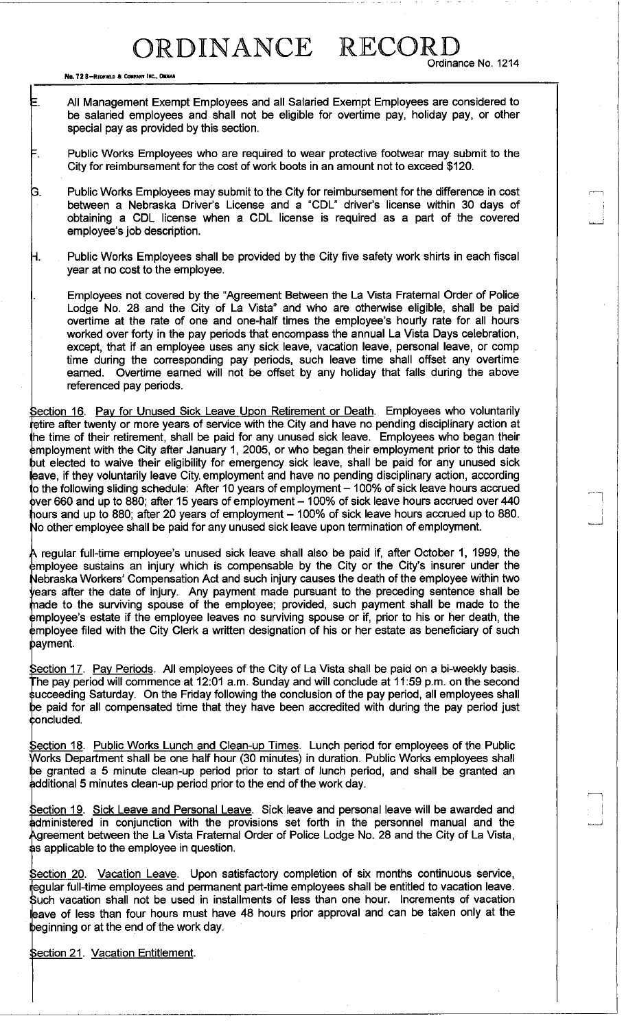No. 72 8-REDFIELD & CONPANY INC., OMAHA

r

Ordinance No. 1214

=. All Management Exempt Employees and all Salaried Exempt Employees are considered to be salaried employees and shall not be eligible for overtime pay, holiday pay, or other special pay as provided by this section.

. Public Works Employees who are required to wear protective footwear may submit to the City for reimbursement for the cost of work boots in an amount not to exceed \$120.

- 3. Public Works Employees may submit to the City for reimbursement for the difference in cost between a Nebraska Driver's License and a "CDL" driver's license within 30 days of obtaining a CDL license when a CDL license is required as a part of the covered employee's job description.
- -I. Public Works Employees shall be provided by the City five safety work shirts in each fiscal year at no cost to the employee.

Employees not covered by the "Agreement Between the La Vista Fraternal Order of Police Lodge No. 28 and the City of La Vista" and who are otherwise eligible, shall be paid overtime at the rate of one and one-half times the employee's hourly rate for all hours worked over forty in the pay periods that encompass the annual La Vista Days celebration, except, that if an employee uses any sick leave, vacation leave, personal leave, or comp time during the corresponding pay periods, such leave time shall offset any overtime earned. Overtime earned will not be offset by any holiday that falls during the above referenced pay periods.

Section 16. Pay for Unused Sick Leave Upon Retirement or Death. Employees who voluntarily retire after twenty or more years of service with the City and have no pending disciplinary action at the time of their retirement, shall be paid for any unused sick leave. Employees who began their employment with the City after January 1, 2005, or who began their employment prior to this date but elected to waive their eligibility for emergency sick leave, shall be paid for any unused sick leave, if they voluntarily leave City, employment and have no pending disciplinary action, according to the following sliding schedule: After 10 years of employment - 100% of sick leave hours accrued  $\beta$ ver 660 and up to 880; after 15 years of employment  $-$  100% of sick leave hours accrued over 440 hours and up to 880; after 20 years of employment – 100% of sick leave hours accrued up to 880. No other employee shall be paid for any unused sick leave upon termination of employment.

A regular full-time employee's unused sick leave shall also be paid if, after October 1, 1999, the employee sustains an injury which is compensable by the City or the City's insurer under the Nebraska Workers' Compensation Act and such injury causes the death of the employee within two ears after the date of injury. Any payment made pursuant to the preceding sentence shall be made to the surviving spouse of the employee; provided, such payment shall be made to the employee's estate if the employee leaves no surviving spouse or if, prior to his or her death, the employee filed with the City Clerk a written designation of his or her estate as beneficiary of such payment.

Section 17. Pay Periods. All employees of the City of La Vista shall be paid on a bi-weekly basis. The pay period will commence at 12:01 a.m. Sunday and will conclude at 11:59 p.m. on the second succeeding Saturday. On the Friday following the conclusion of the pay period, all employees shall be paid for all compensated time that they have been accredited with during the pay period just  $\operatorname{\mathsf{concluded}}$ .

Section 18. Public Works Lunch and Clean-up Times. Lunch period for employees of the Public Works Department shall be one half hour (30 minutes) in duration. Public Works employees shall be granted a 5 minute clean-up period prior to start of lunch period, and shall be granted an additional 5 minutes clean-up period prior to the end of the work day.

Section 19. Sick Leave and Personal Leave. Sick leave and personal leave will be awarded and administered in conjunction with the provisions set forth in the personnel manual and the *<sup>J</sup>*Agreement between the La Vista Fraternal Order of Police Lodge No. 28 and the City of La Vista, as applicable to the employee in question.

Section 20. Vacation Leave. Upon satisfactory completion of six months continuous service, regular full-time employees and permanent part-time employees shall be entitled to vacation leave. Such vacation shall not be used in installments of less than one hour. Increments of vacation leave of less than four hours must have 48 hours prior approval and can be taken only at the beginning or at the end of the work day.

Section 21. Vacation Entitlement.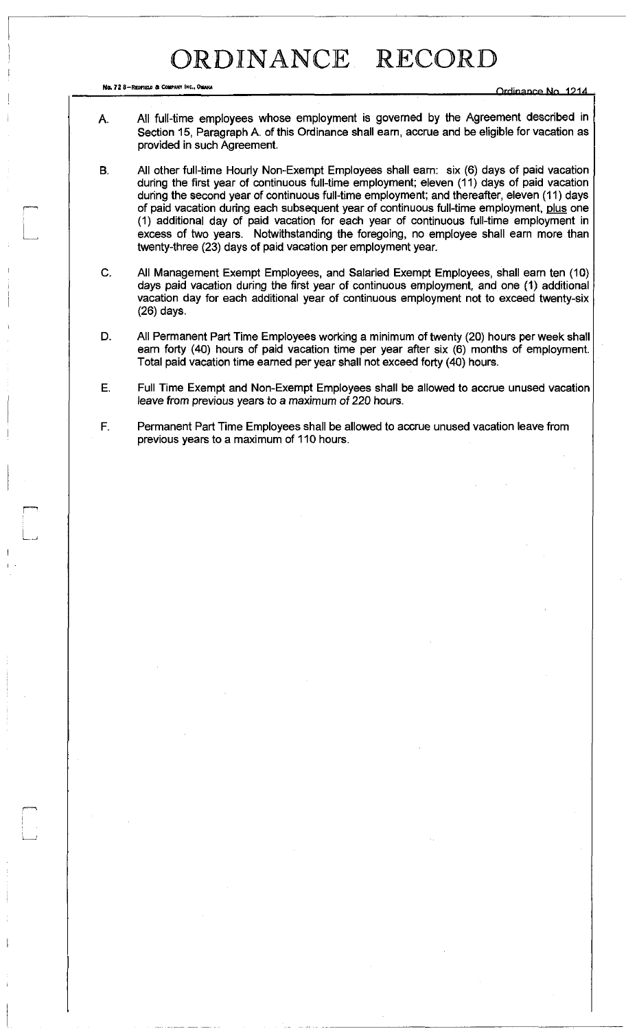No. 72 8-REDFIEU A COWAN\* INC., OMAHA **rirHinanro** *HLN 101A* 

- A. All full-time employees whose employment is governed by the Agreement described in Section 15, Paragraph A. of this Ordinance shall earn, accrue and be eligible for vacation as provided in such Agreement.
- B. All other full-time Hourly Non-Exempt Employees shall earn: six (6) days of paid vacation during the first year of continuous full-time employment; eleven (11) days of paid vacation during the second year of continuous full-time employment; and thereafter, eleven (11) days of paid vacation during each subsequent year of continuous full-time employment, plus one (1) additional day of paid vacation for each year of continuous full-time employment in excess of two years. Notwithstanding the foregoing, no employee shall earn more than twenty-three (23) days of paid vacation per employment year.
- C. All Management Exempt Employees, and Salaried Exempt Employees, shall earn ten (10) days paid vacation during the first year of continuous employment, and one (1) additional vacation day for each additional year of continuous employment not to exceed twenty-six (26) days.
- D. All Permanent Part Time Employees working a minimum of twenty (20) hours per week shall earn forty (40) hours of paid vacation time per year after six (6) months of employment. Total paid vacation time earned per year shall not exceed forty (40) hours.
- E. Full Time Exempt and Non-Exempt Employees shall be allowed to accrue unused vacation leave from previous years to a maximum of 220 hours.
- F. Permanent Part Time Employees shall be allowed to accrue unused vacation leave from previous years to a maximum of 110 hours.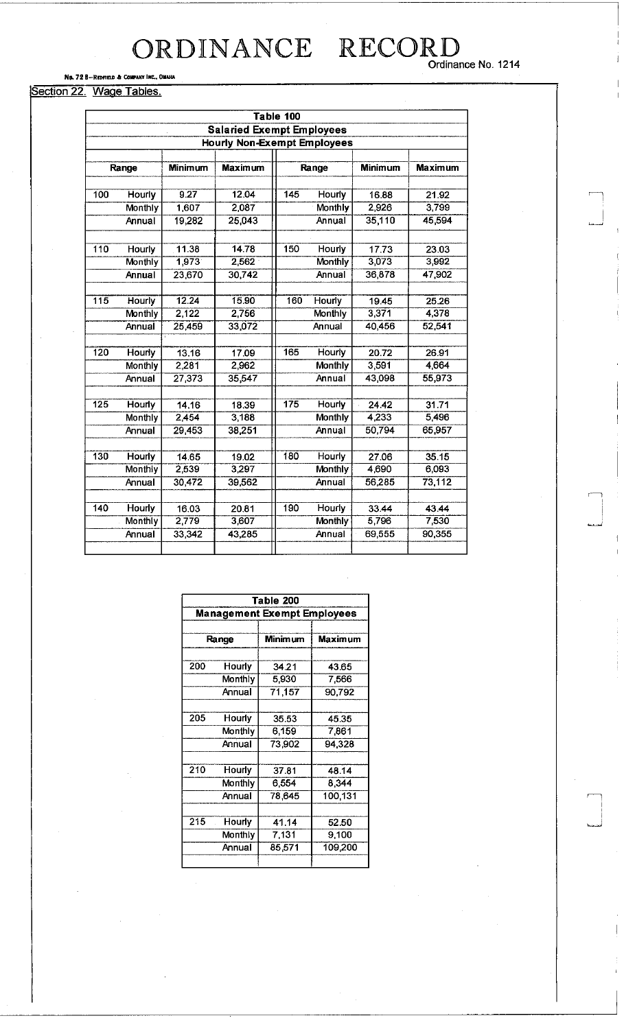# ORDINANCE RECORD<br>
Ordinance No. 1214

### No. 72 8-Redfield & Company Inc., Omaha

### Section 22. Wage Tables.

| Table 100                          |                                  |                |                |        |                |                |                |  |  |  |  |  |
|------------------------------------|----------------------------------|----------------|----------------|--------|----------------|----------------|----------------|--|--|--|--|--|
|                                    | <b>Salaried Exempt Employees</b> |                |                |        |                |                |                |  |  |  |  |  |
| <b>Hourly Non-Exempt Employees</b> |                                  |                |                |        |                |                |                |  |  |  |  |  |
|                                    |                                  |                |                |        |                |                |                |  |  |  |  |  |
|                                    | Range                            | <b>Minimum</b> | <b>Maximum</b> |        | Range          | <b>Minimum</b> | <b>Maximum</b> |  |  |  |  |  |
|                                    |                                  |                |                |        |                |                |                |  |  |  |  |  |
| 100                                | Hourly                           | 9.27           | 12.04          | 145    | Hourly         | 16.88          | 21.92          |  |  |  |  |  |
|                                    | Monthly                          | 1,607          | 2,087          |        | Monthly        | 2,926          | 3,799          |  |  |  |  |  |
|                                    | Annual                           | 19,282         | 25,043         |        | Annual         | 35,110         | 45,594         |  |  |  |  |  |
|                                    |                                  |                |                |        |                |                |                |  |  |  |  |  |
| 110                                | Hourly                           | 11.38          | 14.78          | 150    | <b>Hourly</b>  | 17.73          | 23.03          |  |  |  |  |  |
|                                    | Monthly                          | 1,973          | 2,562          |        | Monthly        | 3,073          | 3,992          |  |  |  |  |  |
|                                    | Annual                           | 23,670         | 30,742         |        | Annual         | 36,878         | 47,902         |  |  |  |  |  |
|                                    |                                  |                |                |        |                |                |                |  |  |  |  |  |
| 115                                | Hourly                           | 12.24          | 15.90          | 160    | <b>Hourly</b>  | 19.45          | 25.26          |  |  |  |  |  |
|                                    | Monthly                          | 2,122          | 2,756          |        | Monthly        | 3,371          | 4,378          |  |  |  |  |  |
|                                    | Annual                           | 25,459         | 33,072         | Annual |                | 40,456         | 52,541         |  |  |  |  |  |
|                                    |                                  |                |                |        |                |                |                |  |  |  |  |  |
| 120                                | Hourly                           | 13.16          | 17.09          | 165    | <b>Hourly</b>  | 20.72          | 26.91          |  |  |  |  |  |
|                                    | Monthly                          | 2,281          | 2,962          |        | <b>Monthly</b> | 3,591          | 4,664          |  |  |  |  |  |
|                                    | Annual                           | 27,373         | 35,547         | Annual |                | 43,098         | 55,973         |  |  |  |  |  |
|                                    |                                  |                |                |        |                |                |                |  |  |  |  |  |
| 125                                | Hourly                           | 14.16          | 18.39          | 175    | <b>Hourly</b>  | 24.42          | 31.71          |  |  |  |  |  |
|                                    | Monthly                          | 2,454          | 3,188          |        | <b>Monthly</b> | 4,233          | 5,496          |  |  |  |  |  |
|                                    | Annual                           | 29,453         | 38,251         |        | Annual         | 50,794         | 65,957         |  |  |  |  |  |
|                                    |                                  |                |                |        |                |                |                |  |  |  |  |  |
| 130                                | Hourly                           | 14.65          | 19.02          | 180    | Hourly         | 27.06          | 35.15          |  |  |  |  |  |
|                                    | Monthly                          | 2,539          | 3,297          |        | <b>Monthly</b> | 4,690          | 6,093          |  |  |  |  |  |
|                                    | Annual                           | 30,472         | 39,562         |        | Annual         | 56,285         | 73,112         |  |  |  |  |  |
|                                    |                                  |                |                |        |                |                |                |  |  |  |  |  |
| 140                                | Hourly                           | 16.03          | 20.81          | 190    | Hourly         | 33.44          | 43.44          |  |  |  |  |  |
|                                    | Monthly                          | 2,779          | 3,607          |        | Monthly        | 5,796          | 7,530          |  |  |  |  |  |
|                                    | Annual                           | 33,342         | 43,285         |        | Annual         | 69,555         | 90,355         |  |  |  |  |  |
|                                    |                                  |                |                |        |                |                |                |  |  |  |  |  |

| Table 200                          |         |                |         |  |  |  |  |  |
|------------------------------------|---------|----------------|---------|--|--|--|--|--|
| <b>Management Exempt Employees</b> |         |                |         |  |  |  |  |  |
|                                    |         |                |         |  |  |  |  |  |
|                                    | Range   | <b>Minimum</b> | Maximum |  |  |  |  |  |
|                                    |         |                |         |  |  |  |  |  |
| 200                                | Hourly  | 34.21          | 43.65   |  |  |  |  |  |
|                                    | Monthly | 5,930          | 7.566   |  |  |  |  |  |
|                                    | Annual  | 71,157         | 90,792  |  |  |  |  |  |
|                                    |         |                |         |  |  |  |  |  |
| 205                                | Hourly  | 35.53          | 45.35   |  |  |  |  |  |
| Monthly                            |         | 6.159          | 7.861   |  |  |  |  |  |
| Annual                             |         | 73,902         | 94,328  |  |  |  |  |  |
|                                    |         |                |         |  |  |  |  |  |
| 210                                | Hourly  | 37.81          | 48.14   |  |  |  |  |  |
|                                    | Monthly | 6,554          | 8,344   |  |  |  |  |  |
|                                    | Annual  | 78,645         | 100,131 |  |  |  |  |  |
|                                    |         |                |         |  |  |  |  |  |
| 215                                | Hourly  | 41.14          | 52.50   |  |  |  |  |  |
|                                    | Monthly | 7,131          | 9,100   |  |  |  |  |  |
|                                    | Annual  | 85,571         | 109,200 |  |  |  |  |  |
|                                    |         |                |         |  |  |  |  |  |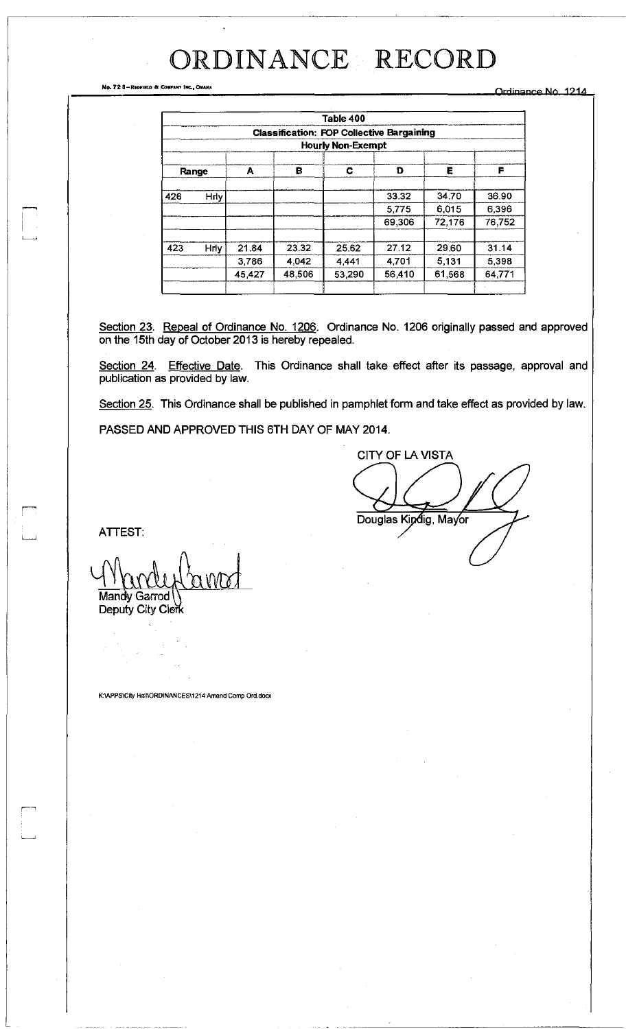No. 72 B-REPFIELD & COMPANY INC., OMAHA<br>
The Company of Company Inc., Omaha Orrient Company of Company of Company of Company of Company of Company of Company of Company of Company of Company of Company of Company of Compan

|       |                          |        |        | Table 400                                        |        |        |        |  |  |  |
|-------|--------------------------|--------|--------|--------------------------------------------------|--------|--------|--------|--|--|--|
|       |                          |        |        | <b>Classification: FOP Collective Bargaining</b> |        |        |        |  |  |  |
|       | <b>Hourly Non-Exempt</b> |        |        |                                                  |        |        |        |  |  |  |
| Range |                          | A      | в      | C                                                | D      | Ε      | F      |  |  |  |
| 426   | Hrly                     |        |        |                                                  | 33.32  | 34.70  | 36.90  |  |  |  |
|       |                          |        |        |                                                  | 5,775  | 6,015  | 6,396  |  |  |  |
|       |                          |        |        |                                                  | 69.306 | 72.176 | 76752  |  |  |  |
| 423   | <b>Hrly</b>              | 21.84  | 23.32  | 25.62                                            | 27.12  | 29.60  | 31.14  |  |  |  |
|       |                          | 3,786  | 4.042  | 4,441                                            | 4,701  | 5,131  | 5,398  |  |  |  |
|       |                          | 45,427 | 48,506 | 53,290                                           | 56,410 | 61,568 | 64 771 |  |  |  |
|       |                          |        |        |                                                  |        |        |        |  |  |  |

Section 23. Repeal of Ordinance No. 1206. Ordinance No. 1206 originally passed and approved on the 15th day of October 2013 is hereby repealed.

Section 24. Effective Date. This Ordinance shall take effect after its passage, approval and publication as provided by law.

Section 25. This Ordinance shall be published in pamphlet form and take effect as provided by law.

PASSED AND APPROVED THIS 6TH DAY OF MAY 2014.

CITY OF LA VISTA Douglas Kindig, Mayor

ATTEST:

Mandy Garrod

Deputy City Clerk

K:\APPS\City HamORDINANCES\1214 Amend Comp Ord.docx